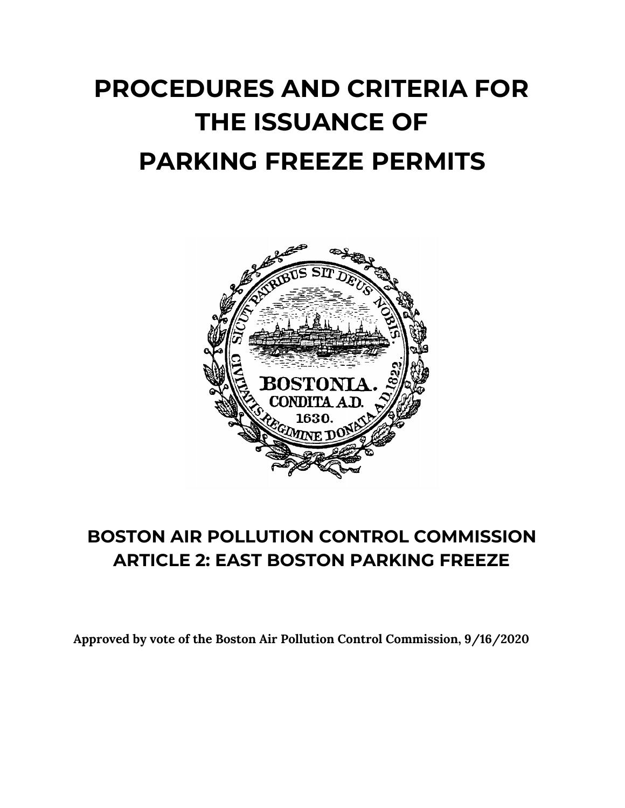# **PROCEDURES AND CRITERIA FOR THE ISSUANCE OF PARKING FREEZE PERMITS**



# **BOSTON AIR POLLUTION CONTROL COMMISSION ARTICLE 2: EAST BOSTON PARKING FREEZE**

**Approved by vote of the Boston Air Pollution Control Commission, 9/16/2020**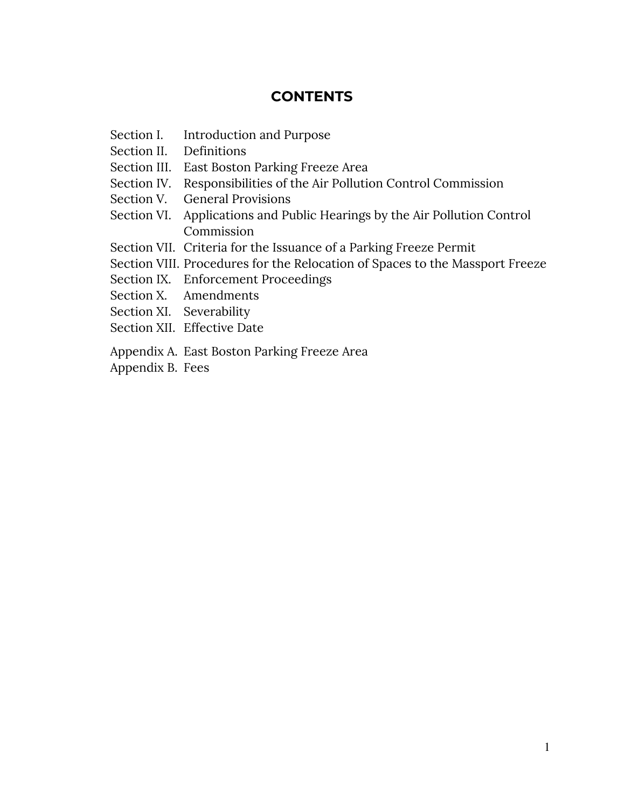# **CONTENTS**

- Section I. Introduction and Purpose
- Section II. Definitions
- Section III. East Boston Parking Freeze Area
- Section IV. Responsibilities of the Air Pollution Control Commission
- Section V. General Provisions
- Section VI. Applications and Public Hearings by the Air Pollution Control Commission
- Section VII. Criteria for the Issuance of a Parking Freeze Permit
- Section VIII. Procedures for the Relocation of Spaces to the Massport Freeze
- Section IX. Enforcement Proceedings
- Section X. Amendments
- Section XI. Severability
- Section XII. Effective Date
- Appendix A. East Boston Parking Freeze Area
- Appendix B. Fees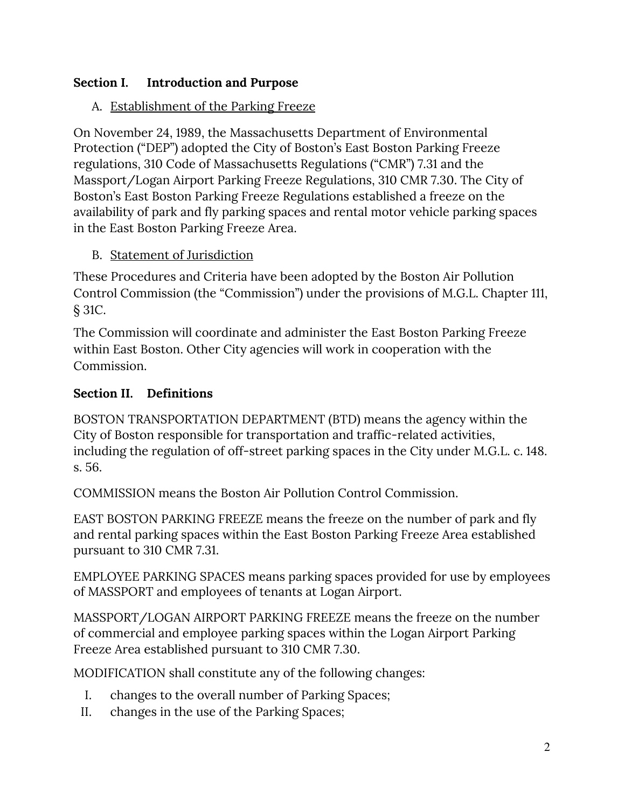# **Section I. Introduction and Purpose**

# A. Establishment of the Parking Freeze

On November 24, 1989, the Massachusetts Department of Environmental Protection ("DEP") adopted the City of Boston's East Boston Parking Freeze regulations, 310 Code of Massachusetts Regulations ("CMR") 7.31 and the Massport/Logan Airport Parking Freeze Regulations, 310 CMR 7.30. The City of Boston's East Boston Parking Freeze Regulations established a freeze on the availability of park and fly parking spaces and rental motor vehicle parking spaces in the East Boston Parking Freeze Area.

## B. Statement of Jurisdiction

These Procedures and Criteria have been adopted by the Boston Air Pollution Control Commission (the "Commission") under the provisions of M.G.L. Chapter 111, § 31C.

The Commission will coordinate and administer the East Boston Parking Freeze within East Boston. Other City agencies will work in cooperation with the Commission.

# **Section II. Definitions**

BOSTON TRANSPORTATION DEPARTMENT (BTD) means the agency within the City of Boston responsible for transportation and traffic-related activities, including the regulation of off-street parking spaces in the City under M.G.L. c. 148. s. 56.

COMMISSION means the Boston Air Pollution Control Commission.

EAST BOSTON PARKING FREEZE means the freeze on the number of park and fly and rental parking spaces within the East Boston Parking Freeze Area established pursuant to 310 CMR 7.31.

EMPLOYEE PARKING SPACES means parking spaces provided for use by employees of MASSPORT and employees of tenants at Logan Airport.

MASSPORT/LOGAN AIRPORT PARKING FREEZE means the freeze on the number of commercial and employee parking spaces within the Logan Airport Parking Freeze Area established pursuant to 310 CMR 7.30.

MODIFICATION shall constitute any of the following changes:

- I. changes to the overall number of Parking Spaces;
- II. changes in the use of the Parking Spaces;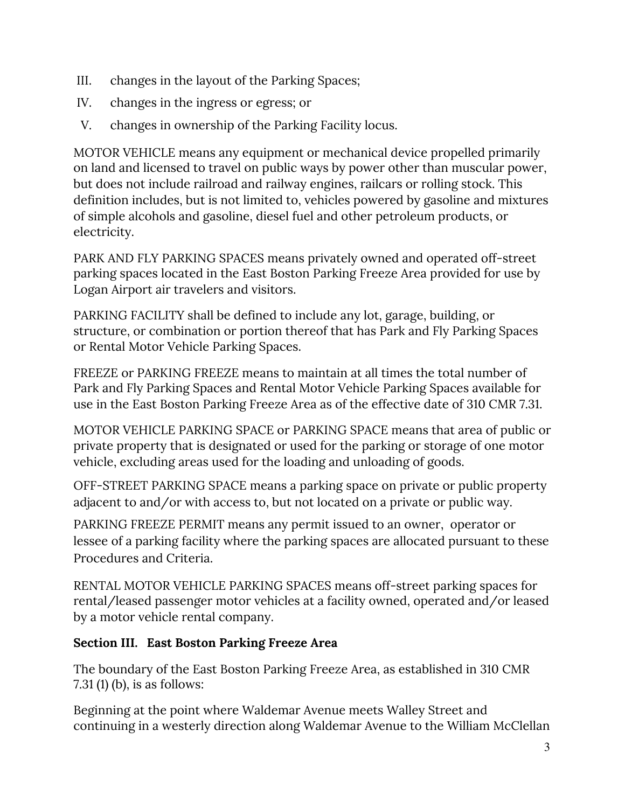- III. changes in the layout of the Parking Spaces;
- IV. changes in the ingress or egress; or
- V. changes in ownership of the Parking Facility locus.

MOTOR VEHICLE means any equipment or mechanical device propelled primarily on land and licensed to travel on public ways by power other than muscular power, but does not include railroad and railway engines, railcars or rolling stock. This definition includes, but is not limited to, vehicles powered by gasoline and mixtures of simple alcohols and gasoline, diesel fuel and other petroleum products, or electricity.

PARK AND FLY PARKING SPACES means privately owned and operated off-street parking spaces located in the East Boston Parking Freeze Area provided for use by Logan Airport air travelers and visitors.

PARKING FACILITY shall be defined to include any lot, garage, building, or structure, or combination or portion thereof that has Park and Fly Parking Spaces or Rental Motor Vehicle Parking Spaces.

FREEZE or PARKING FREEZE means to maintain at all times the total number of Park and Fly Parking Spaces and Rental Motor Vehicle Parking Spaces available for use in the East Boston Parking Freeze Area as of the effective date of 310 CMR 7.31.

MOTOR VEHICLE PARKING SPACE or PARKING SPACE means that area of public or private property that is designated or used for the parking or storage of one motor vehicle, excluding areas used for the loading and unloading of goods.

OFF-STREET PARKING SPACE means a parking space on private or public property adjacent to and/or with access to, but not located on a private or public way.

PARKING FREEZE PERMIT means any permit issued to an owner, operator or lessee of a parking facility where the parking spaces are allocated pursuant to these Procedures and Criteria.

RENTAL MOTOR VEHICLE PARKING SPACES means off-street parking spaces for rental/leased passenger motor vehicles at a facility owned, operated and/or leased by a motor vehicle rental company.

## **Section III. East Boston Parking Freeze Area**

The boundary of the East Boston Parking Freeze Area, as established in 310 CMR 7.31 (1) (b), is as follows:

Beginning at the point where Waldemar Avenue meets Walley Street and continuing in a westerly direction along Waldemar Avenue to the William McClellan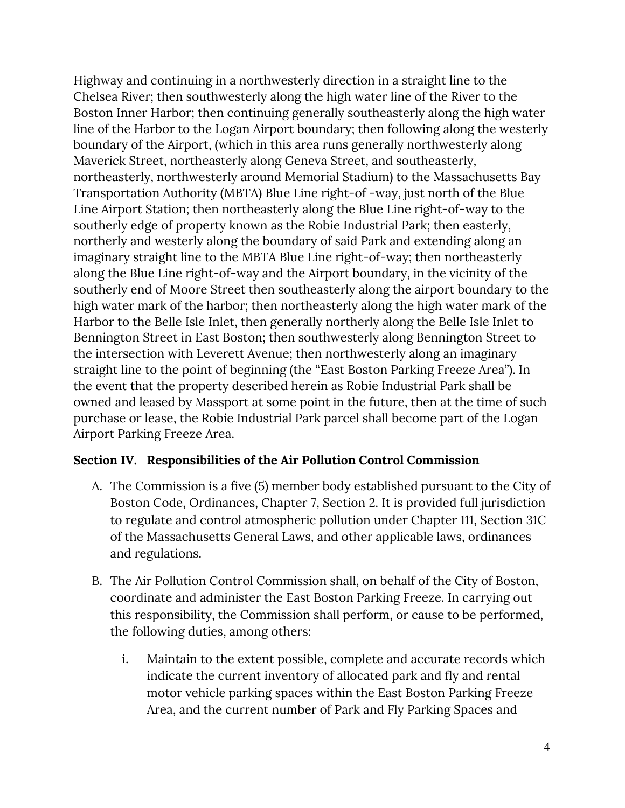Highway and continuing in a northwesterly direction in a straight line to the Chelsea River; then southwesterly along the high water line of the River to the Boston Inner Harbor; then continuing generally southeasterly along the high water line of the Harbor to the Logan Airport boundary; then following along the westerly boundary of the Airport, (which in this area runs generally northwesterly along Maverick Street, northeasterly along Geneva Street, and southeasterly, northeasterly, northwesterly around Memorial Stadium) to the Massachusetts Bay Transportation Authority (MBTA) Blue Line right-of -way, just north of the Blue Line Airport Station; then northeasterly along the Blue Line right-of-way to the southerly edge of property known as the Robie Industrial Park; then easterly, northerly and westerly along the boundary of said Park and extending along an imaginary straight line to the MBTA Blue Line right-of-way; then northeasterly along the Blue Line right-of-way and the Airport boundary, in the vicinity of the southerly end of Moore Street then southeasterly along the airport boundary to the high water mark of the harbor; then northeasterly along the high water mark of the Harbor to the Belle Isle Inlet, then generally northerly along the Belle Isle Inlet to Bennington Street in East Boston; then southwesterly along Bennington Street to the intersection with Leverett Avenue; then northwesterly along an imaginary straight line to the point of beginning (the "East Boston Parking Freeze Area"). In the event that the property described herein as Robie Industrial Park shall be owned and leased by Massport at some point in the future, then at the time of such purchase or lease, the Robie Industrial Park parcel shall become part of the Logan Airport Parking Freeze Area.

#### **Section IV. Responsibilities of the Air Pollution Control Commission**

- A. The Commission is a five (5) member body established pursuant to the City of Boston Code, Ordinances, Chapter 7, Section 2. It is provided full jurisdiction to regulate and control atmospheric pollution under Chapter 111, Section 31C of the Massachusetts General Laws, and other applicable laws, ordinances and regulations.
- B. The Air Pollution Control Commission shall, on behalf of the City of Boston, coordinate and administer the East Boston Parking Freeze. In carrying out this responsibility, the Commission shall perform, or cause to be performed, the following duties, among others:
	- i. Maintain to the extent possible, complete and accurate records which indicate the current inventory of allocated park and fly and rental motor vehicle parking spaces within the East Boston Parking Freeze Area, and the current number of Park and Fly Parking Spaces and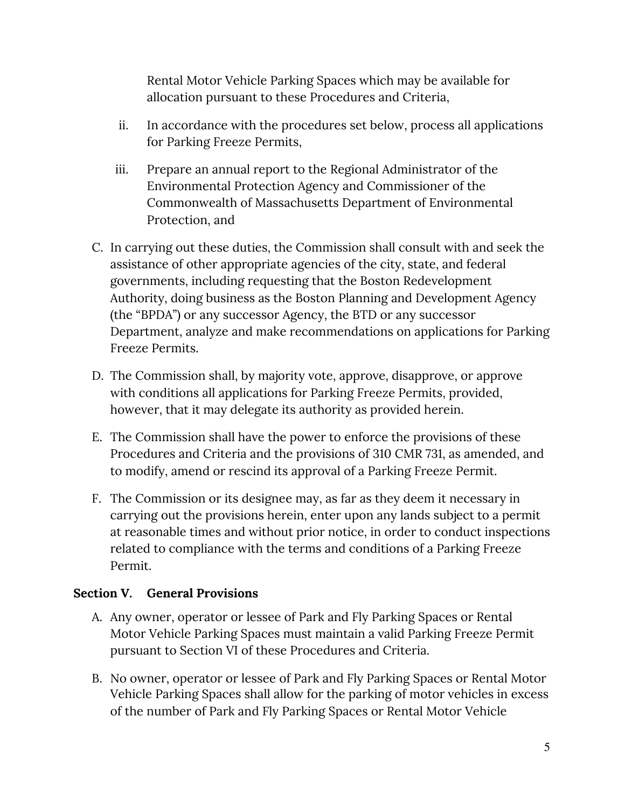Rental Motor Vehicle Parking Spaces which may be available for allocation pursuant to these Procedures and Criteria,

- ii. In accordance with the procedures set below, process all applications for Parking Freeze Permits,
- iii. Prepare an annual report to the Regional Administrator of the Environmental Protection Agency and Commissioner of the Commonwealth of Massachusetts Department of Environmental Protection, and
- C. In carrying out these duties, the Commission shall consult with and seek the assistance of other appropriate agencies of the city, state, and federal governments, including requesting that the Boston Redevelopment Authority, doing business as the Boston Planning and Development Agency (the "BPDA") or any successor Agency, the BTD or any successor Department, analyze and make recommendations on applications for Parking Freeze Permits.
- D. The Commission shall, by majority vote, approve, disapprove, or approve with conditions all applications for Parking Freeze Permits, provided, however, that it may delegate its authority as provided herein.
- E. The Commission shall have the power to enforce the provisions of these Procedures and Criteria and the provisions of 310 CMR 731, as amended, and to modify, amend or rescind its approval of a Parking Freeze Permit.
- F. The Commission or its designee may, as far as they deem it necessary in carrying out the provisions herein, enter upon any lands subject to a permit at reasonable times and without prior notice, in order to conduct inspections related to compliance with the terms and conditions of a Parking Freeze Permit.

## **Section V. General Provisions**

- A. Any owner, operator or lessee of Park and Fly Parking Spaces or Rental Motor Vehicle Parking Spaces must maintain a valid Parking Freeze Permit pursuant to Section VI of these Procedures and Criteria.
- B. No owner, operator or lessee of Park and Fly Parking Spaces or Rental Motor Vehicle Parking Spaces shall allow for the parking of motor vehicles in excess of the number of Park and Fly Parking Spaces or Rental Motor Vehicle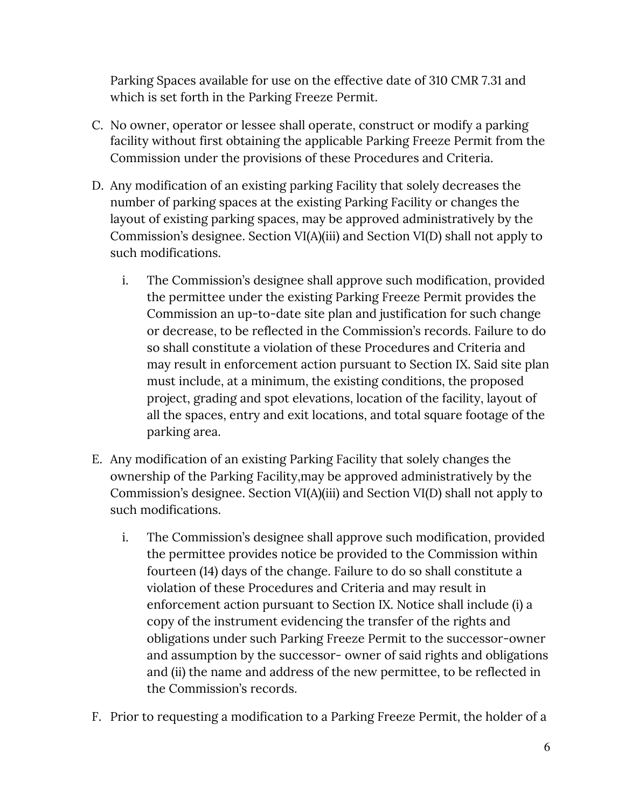Parking Spaces available for use on the effective date of 310 CMR 7.31 and which is set forth in the Parking Freeze Permit.

- C. No owner, operator or lessee shall operate, construct or modify a parking facility without first obtaining the applicable Parking Freeze Permit from the Commission under the provisions of these Procedures and Criteria.
- D. Any modification of an existing parking Facility that solely decreases the number of parking spaces at the existing Parking Facility or changes the layout of existing parking spaces, may be approved administratively by the Commission's designee. Section VI(A)(iii) and Section VI(D) shall not apply to such modifications.
	- i. The Commission's designee shall approve such modification, provided the permittee under the existing Parking Freeze Permit provides the Commission an up-to-date site plan and justification for such change or decrease, to be reflected in the Commission's records. Failure to do so shall constitute a violation of these Procedures and Criteria and may result in enforcement action pursuant to Section IX. Said site plan must include, at a minimum, the existing conditions, the proposed project, grading and spot elevations, location of the facility, layout of all the spaces, entry and exit locations, and total square footage of the parking area.
- E. Any modification of an existing Parking Facility that solely changes the ownership of the Parking Facility,may be approved administratively by the Commission's designee. Section VI(A)(iii) and Section VI(D) shall not apply to such modifications.
	- i. The Commission's designee shall approve such modification, provided the permittee provides notice be provided to the Commission within fourteen (14) days of the change. Failure to do so shall constitute a violation of these Procedures and Criteria and may result in enforcement action pursuant to Section IX. Notice shall include (i) a copy of the instrument evidencing the transfer of the rights and obligations under such Parking Freeze Permit to the successor-owner and assumption by the successor- owner of said rights and obligations and (ii) the name and address of the new permittee, to be reflected in the Commission's records.
- F. Prior to requesting a modification to a Parking Freeze Permit, the holder of a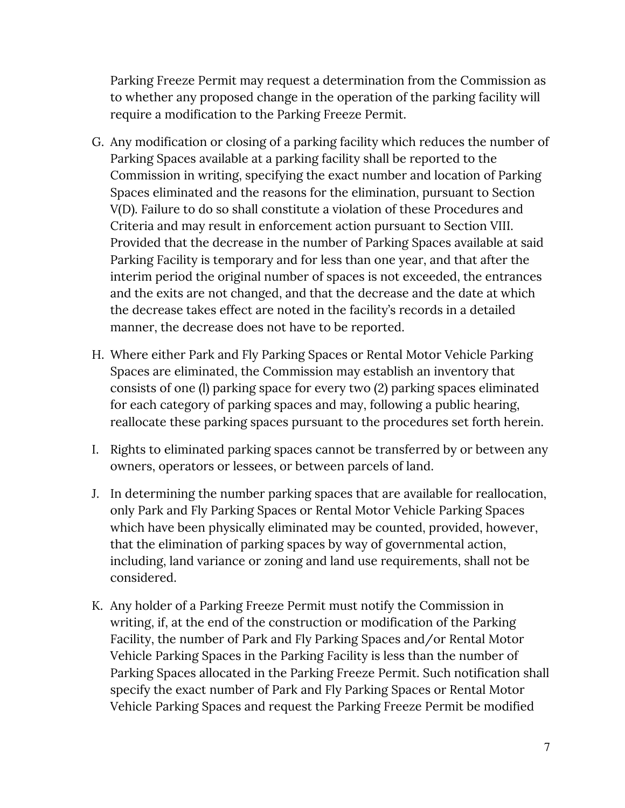Parking Freeze Permit may request a determination from the Commission as to whether any proposed change in the operation of the parking facility will require a modification to the Parking Freeze Permit.

- G. Any modification or closing of a parking facility which reduces the number of Parking Spaces available at a parking facility shall be reported to the Commission in writing, specifying the exact number and location of Parking Spaces eliminated and the reasons for the elimination, pursuant to Section V(D). Failure to do so shall constitute a violation of these Procedures and Criteria and may result in enforcement action pursuant to Section VIII. Provided that the decrease in the number of Parking Spaces available at said Parking Facility is temporary and for less than one year, and that after the interim period the original number of spaces is not exceeded, the entrances and the exits are not changed, and that the decrease and the date at which the decrease takes effect are noted in the facility's records in a detailed manner, the decrease does not have to be reported.
- H. Where either Park and Fly Parking Spaces or Rental Motor Vehicle Parking Spaces are eliminated, the Commission may establish an inventory that consists of one (l) parking space for every two (2) parking spaces eliminated for each category of parking spaces and may, following a public hearing, reallocate these parking spaces pursuant to the procedures set forth herein.
- I. Rights to eliminated parking spaces cannot be transferred by or between any owners, operators or lessees, or between parcels of land.
- J. In determining the number parking spaces that are available for reallocation, only Park and Fly Parking Spaces or Rental Motor Vehicle Parking Spaces which have been physically eliminated may be counted, provided, however, that the elimination of parking spaces by way of governmental action, including, land variance or zoning and land use requirements, shall not be considered.
- K. Any holder of a Parking Freeze Permit must notify the Commission in writing, if, at the end of the construction or modification of the Parking Facility, the number of Park and Fly Parking Spaces and/or Rental Motor Vehicle Parking Spaces in the Parking Facility is less than the number of Parking Spaces allocated in the Parking Freeze Permit. Such notification shall specify the exact number of Park and Fly Parking Spaces or Rental Motor Vehicle Parking Spaces and request the Parking Freeze Permit be modified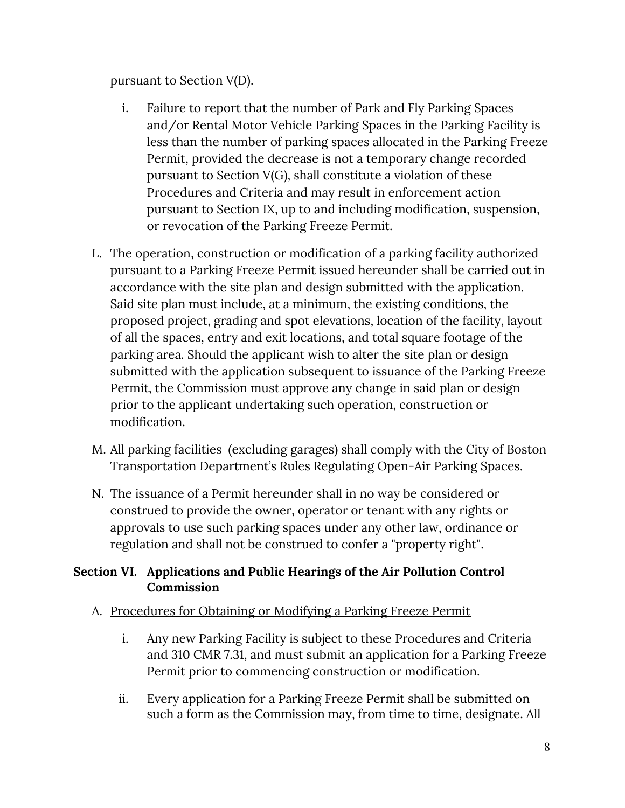pursuant to Section V(D).

- i. Failure to report that the number of Park and Fly Parking Spaces and/or Rental Motor Vehicle Parking Spaces in the Parking Facility is less than the number of parking spaces allocated in the Parking Freeze Permit, provided the decrease is not a temporary change recorded pursuant to Section V(G), shall constitute a violation of these Procedures and Criteria and may result in enforcement action pursuant to Section IX, up to and including modification, suspension, or revocation of the Parking Freeze Permit.
- L. The operation, construction or modification of a parking facility authorized pursuant to a Parking Freeze Permit issued hereunder shall be carried out in accordance with the site plan and design submitted with the application. Said site plan must include, at a minimum, the existing conditions, the proposed project, grading and spot elevations, location of the facility, layout of all the spaces, entry and exit locations, and total square footage of the parking area. Should the applicant wish to alter the site plan or design submitted with the application subsequent to issuance of the Parking Freeze Permit, the Commission must approve any change in said plan or design prior to the applicant undertaking such operation, construction or modification.
- M. All parking facilities (excluding garages) shall comply with the City of Boston Transportation Department's Rules Regulating Open-Air Parking Spaces.
- N. The issuance of a Permit hereunder shall in no way be considered or construed to provide the owner, operator or tenant with any rights or approvals to use such parking spaces under any other law, ordinance or regulation and shall not be construed to confer a "property right".

#### **Section VI. Applications and Public Hearings of the Air Pollution Control Commission**

## A. Procedures for Obtaining or Modifying a Parking Freeze Permit

- i. Any new Parking Facility is subject to these Procedures and Criteria and 310 CMR 7.31, and must submit an application for a Parking Freeze Permit prior to commencing construction or modification.
- ii. Every application for a Parking Freeze Permit shall be submitted on such a form as the Commission may, from time to time, designate. All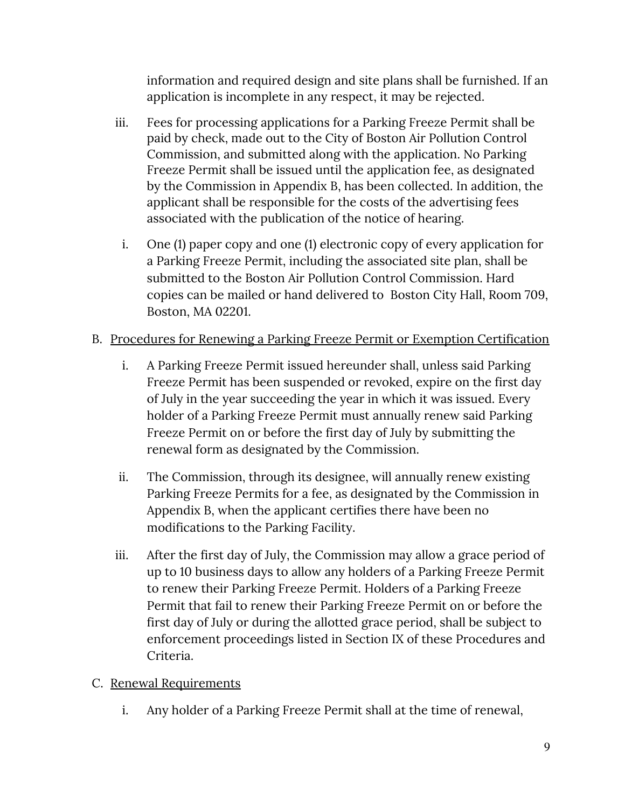information and required design and site plans shall be furnished. If an application is incomplete in any respect, it may be rejected.

- iii. Fees for processing applications for a Parking Freeze Permit shall be paid by check, made out to the City of Boston Air Pollution Control Commission, and submitted along with the application. No Parking Freeze Permit shall be issued until the application fee, as designated by the Commission in Appendix B, has been collected. In addition, the applicant shall be responsible for the costs of the advertising fees associated with the publication of the notice of hearing.
	- i. One (1) paper copy and one (1) electronic copy of every application for a Parking Freeze Permit, including the associated site plan, shall be submitted to the Boston Air Pollution Control Commission. Hard copies can be mailed or hand delivered to Boston City Hall, Room 709, Boston, MA 02201.

## B. Procedures for Renewing a Parking Freeze Permit or Exemption Certification

- i. A Parking Freeze Permit issued hereunder shall, unless said Parking Freeze Permit has been suspended or revoked, expire on the first day of July in the year succeeding the year in which it was issued. Every holder of a Parking Freeze Permit must annually renew said Parking Freeze Permit on or before the first day of July by submitting the renewal form as designated by the Commission.
- ii. The Commission, through its designee, will annually renew existing Parking Freeze Permits for a fee, as designated by the Commission in Appendix B, when the applicant certifies there have been no modifications to the Parking Facility.
- iii. After the first day of July, the Commission may allow a grace period of up to 10 business days to allow any holders of a Parking Freeze Permit to renew their Parking Freeze Permit. Holders of a Parking Freeze Permit that fail to renew their Parking Freeze Permit on or before the first day of July or during the allotted grace period, shall be subject to enforcement proceedings listed in Section IX of these Procedures and Criteria.

# C. Renewal Requirements

i. Any holder of a Parking Freeze Permit shall at the time of renewal,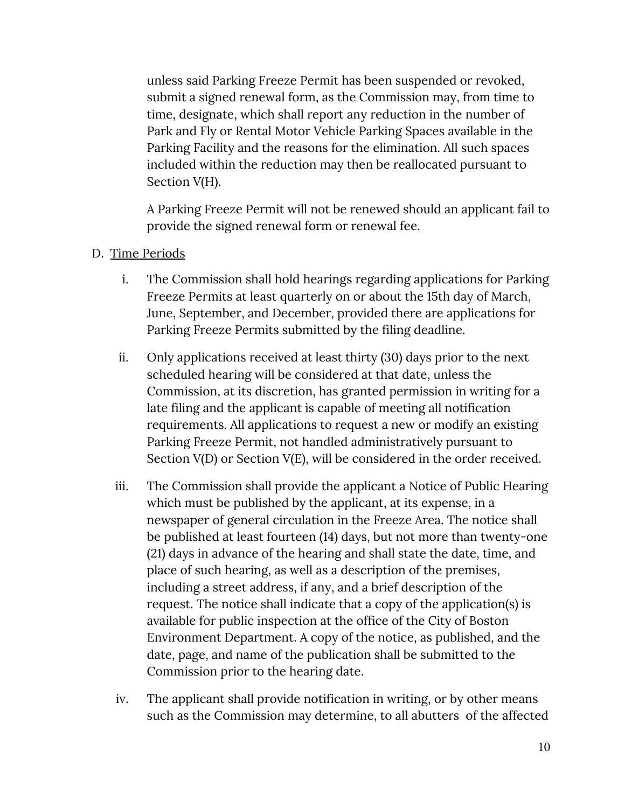unless said Parking Freeze Permit has been suspended or revoked, submit a signed renewal form, as the Commission may, from time to time, designate, which shall report any reduction in the number of Park and Fly or Rental Motor Vehicle Parking Spaces available in the Parking Facility and the reasons for the elimination. All such spaces included within the reduction may then be reallocated pursuant to Section V(H).

A Parking Freeze Permit will not be renewed should an applicant fail to provide the signed renewal form or renewal fee.

#### D. Time Periods

- i. The Commission shall hold hearings regarding applications for Parking Freeze Permits at least quarterly on or about the 15th day of March, June, September, and December, provided there are applications for Parking Freeze Permits submitted by the filing deadline.
- ii. Only applications received at least thirty (30) days prior to the next scheduled hearing will be considered at that date, unless the Commission, at its discretion, has granted permission in writing for a late filing and the applicant is capable of meeting all notification requirements. All applications to request a new or modify an existing Parking Freeze Permit, not handled administratively pursuant to Section V(D) or Section V(E), will be considered in the order received.
- iii. The Commission shall provide the applicant a Notice of Public Hearing which must be published by the applicant, at its expense, in a newspaper of general circulation in the Freeze Area. The notice shall be published at least fourteen (14) days, but not more than twenty-one (21) days in advance of the hearing and shall state the date, time, and place of such hearing, as well as a description of the premises, including a street address, if any, and a brief description of the request. The notice shall indicate that a copy of the application(s) is available for public inspection at the office of the City of Boston Environment Department. A copy of the notice, as published, and the date, page, and name of the publication shall be submitted to the Commission prior to the hearing date.
- iv. The applicant shall provide notification in writing, or by other means such as the Commission may determine, to all abutters of the affected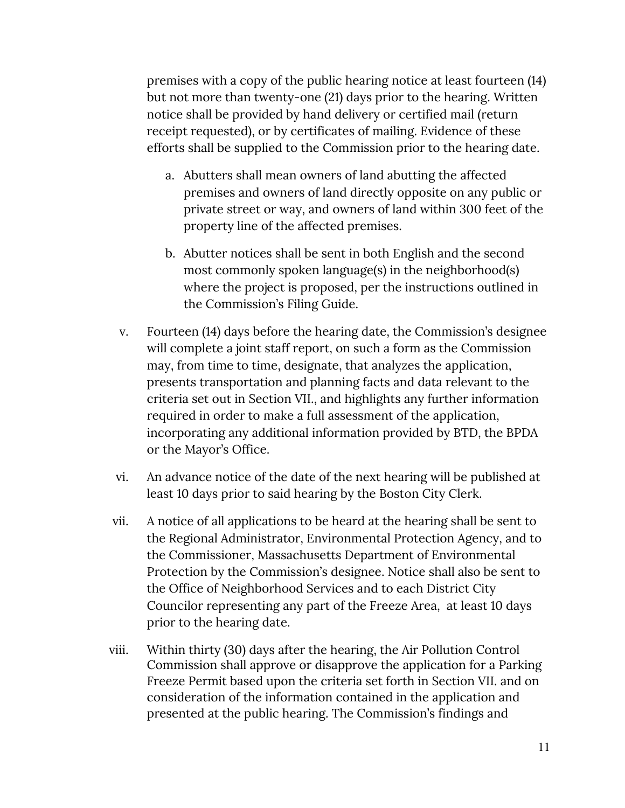premises with a copy of the public hearing notice at least fourteen (14) but not more than twenty-one (21) days prior to the hearing. Written notice shall be provided by hand delivery or certified mail (return receipt requested), or by certificates of mailing. Evidence of these efforts shall be supplied to the Commission prior to the hearing date.

- a. Abutters shall mean owners of land abutting the affected premises and owners of land directly opposite on any public or private street or way, and owners of land within 300 feet of the property line of the affected premises.
- b. Abutter notices shall be sent in both English and the second most commonly spoken language(s) in the neighborhood(s) where the project is proposed, per the instructions outlined in the Commission's Filing Guide.
- v. Fourteen (14) days before the hearing date, the Commission's designee will complete a joint staff report, on such a form as the Commission may, from time to time, designate, that analyzes the application, presents transportation and planning facts and data relevant to the criteria set out in Section VII., and highlights any further information required in order to make a full assessment of the application, incorporating any additional information provided by BTD, the BPDA or the Mayor's Office.
- vi. An advance notice of the date of the next hearing will be published at least 10 days prior to said hearing by the Boston City Clerk.
- vii. A notice of all applications to be heard at the hearing shall be sent to the Regional Administrator, Environmental Protection Agency, and to the Commissioner, Massachusetts Department of Environmental Protection by the Commission's designee. Notice shall also be sent to the Office of Neighborhood Services and to each District City Councilor representing any part of the Freeze Area, at least 10 days prior to the hearing date.
- viii. Within thirty (30) days after the hearing, the Air Pollution Control Commission shall approve or disapprove the application for a Parking Freeze Permit based upon the criteria set forth in Section VII. and on consideration of the information contained in the application and presented at the public hearing. The Commission's findings and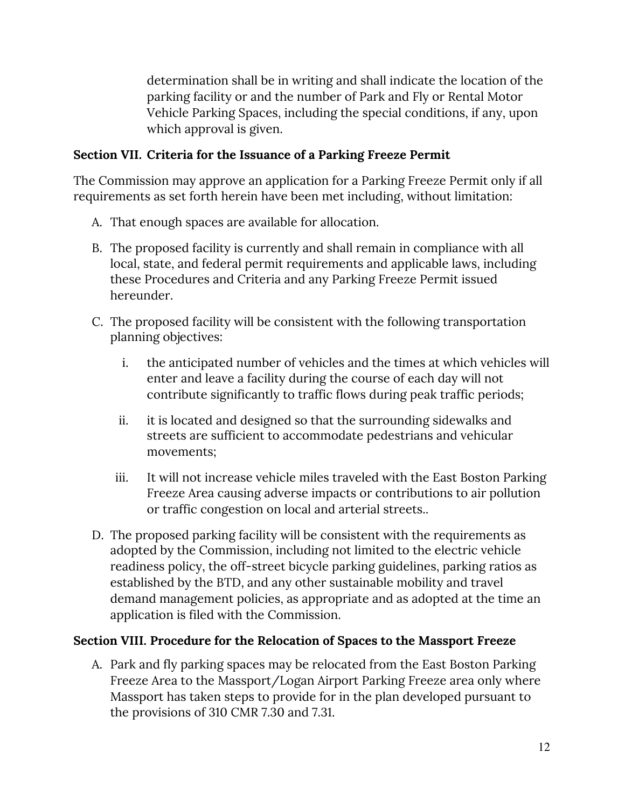determination shall be in writing and shall indicate the location of the parking facility or and the number of Park and Fly or Rental Motor Vehicle Parking Spaces, including the special conditions, if any, upon which approval is given.

## **Section VII. Criteria for the Issuance of a Parking Freeze Permit**

The Commission may approve an application for a Parking Freeze Permit only if all requirements as set forth herein have been met including, without limitation:

- A. That enough spaces are available for allocation.
- B. The proposed facility is currently and shall remain in compliance with all local, state, and federal permit requirements and applicable laws, including these Procedures and Criteria and any Parking Freeze Permit issued hereunder.
- C. The proposed facility will be consistent with the following transportation planning objectives:
	- i. the anticipated number of vehicles and the times at which vehicles will enter and leave a facility during the course of each day will not contribute significantly to traffic flows during peak traffic periods;
	- ii. it is located and designed so that the surrounding sidewalks and streets are sufficient to accommodate pedestrians and vehicular movements;
	- iii. It will not increase vehicle miles traveled with the East Boston Parking Freeze Area causing adverse impacts or contributions to air pollution or traffic congestion on local and arterial streets..
- D. The proposed parking facility will be consistent with the requirements as adopted by the Commission, including not limited to the electric vehicle readiness policy, the off-street bicycle parking guidelines, parking ratios as established by the BTD, and any other sustainable mobility and travel demand management policies, as appropriate and as adopted at the time an application is filed with the Commission.

#### **Section VIII. Procedure for the Relocation of Spaces to the Massport Freeze**

A. Park and fly parking spaces may be relocated from the East Boston Parking Freeze Area to the Massport/Logan Airport Parking Freeze area only where Massport has taken steps to provide for in the plan developed pursuant to the provisions of 310 CMR 7.30 and 7.31.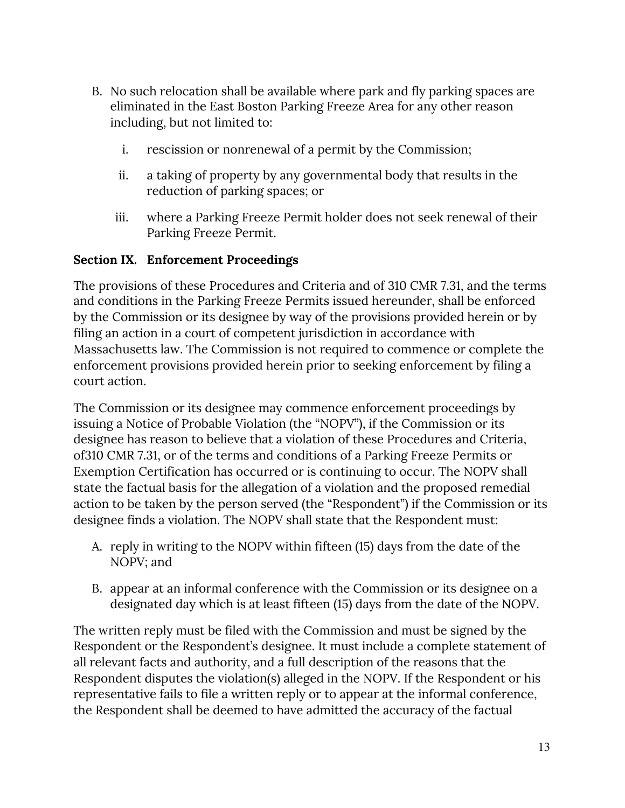- B. No such relocation shall be available where park and fly parking spaces are eliminated in the East Boston Parking Freeze Area for any other reason including, but not limited to:
	- i. rescission or nonrenewal of a permit by the Commission;
	- ii. a taking of property by any governmental body that results in the reduction of parking spaces; or
	- iii. where a Parking Freeze Permit holder does not seek renewal of their Parking Freeze Permit.

#### **Section IX. Enforcement Proceedings**

The provisions of these Procedures and Criteria and of 310 CMR 7.31, and the terms and conditions in the Parking Freeze Permits issued hereunder, shall be enforced by the Commission or its designee by way of the provisions provided herein or by filing an action in a court of competent jurisdiction in accordance with Massachusetts law. The Commission is not required to commence or complete the enforcement provisions provided herein prior to seeking enforcement by filing a court action.

The Commission or its designee may commence enforcement proceedings by issuing a Notice of Probable Violation (the "NOPV"), if the Commission or its designee has reason to believe that a violation of these Procedures and Criteria, of310 CMR 7.31, or of the terms and conditions of a Parking Freeze Permits or Exemption Certification has occurred or is continuing to occur. The NOPV shall state the factual basis for the allegation of a violation and the proposed remedial action to be taken by the person served (the "Respondent") if the Commission or its designee finds a violation. The NOPV shall state that the Respondent must:

- A. reply in writing to the NOPV within fifteen (15) days from the date of the NOPV; and
- B. appear at an informal conference with the Commission or its designee on a designated day which is at least fifteen (15) days from the date of the NOPV.

The written reply must be filed with the Commission and must be signed by the Respondent or the Respondent's designee. It must include a complete statement of all relevant facts and authority, and a full description of the reasons that the Respondent disputes the violation(s) alleged in the NOPV. If the Respondent or his representative fails to file a written reply or to appear at the informal conference, the Respondent shall be deemed to have admitted the accuracy of the factual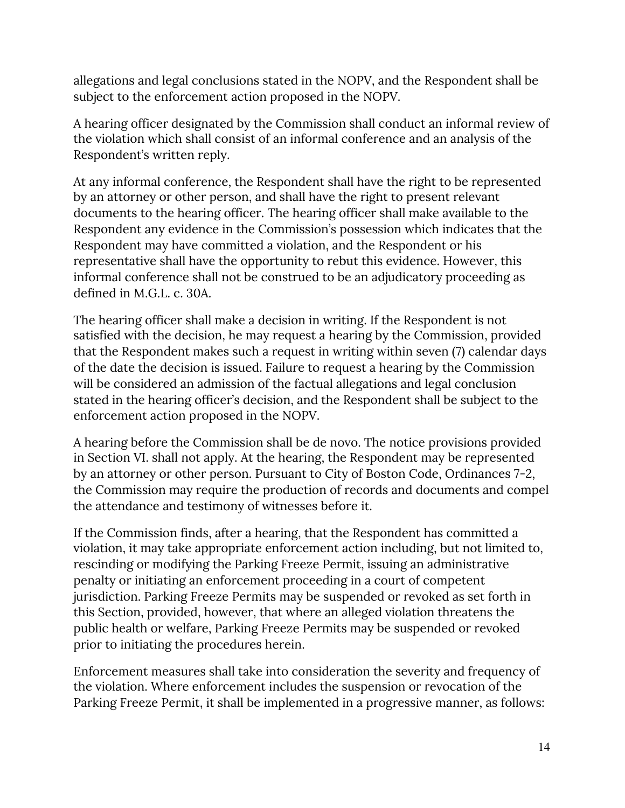allegations and legal conclusions stated in the NOPV, and the Respondent shall be subject to the enforcement action proposed in the NOPV.

A hearing officer designated by the Commission shall conduct an informal review of the violation which shall consist of an informal conference and an analysis of the Respondent's written reply.

At any informal conference, the Respondent shall have the right to be represented by an attorney or other person, and shall have the right to present relevant documents to the hearing officer. The hearing officer shall make available to the Respondent any evidence in the Commission's possession which indicates that the Respondent may have committed a violation, and the Respondent or his representative shall have the opportunity to rebut this evidence. However, this informal conference shall not be construed to be an adjudicatory proceeding as defined in M.G.L. c. 30A.

The hearing officer shall make a decision in writing. If the Respondent is not satisfied with the decision, he may request a hearing by the Commission, provided that the Respondent makes such a request in writing within seven (7) calendar days of the date the decision is issued. Failure to request a hearing by the Commission will be considered an admission of the factual allegations and legal conclusion stated in the hearing officer's decision, and the Respondent shall be subject to the enforcement action proposed in the NOPV.

A hearing before the Commission shall be de novo. The notice provisions provided in Section VI. shall not apply. At the hearing, the Respondent may be represented by an attorney or other person. Pursuant to City of Boston Code, Ordinances 7-2, the Commission may require the production of records and documents and compel the attendance and testimony of witnesses before it.

If the Commission finds, after a hearing, that the Respondent has committed a violation, it may take appropriate enforcement action including, but not limited to, rescinding or modifying the Parking Freeze Permit, issuing an administrative penalty or initiating an enforcement proceeding in a court of competent jurisdiction. Parking Freeze Permits may be suspended or revoked as set forth in this Section, provided, however, that where an alleged violation threatens the public health or welfare, Parking Freeze Permits may be suspended or revoked prior to initiating the procedures herein.

Enforcement measures shall take into consideration the severity and frequency of the violation. Where enforcement includes the suspension or revocation of the Parking Freeze Permit, it shall be implemented in a progressive manner, as follows: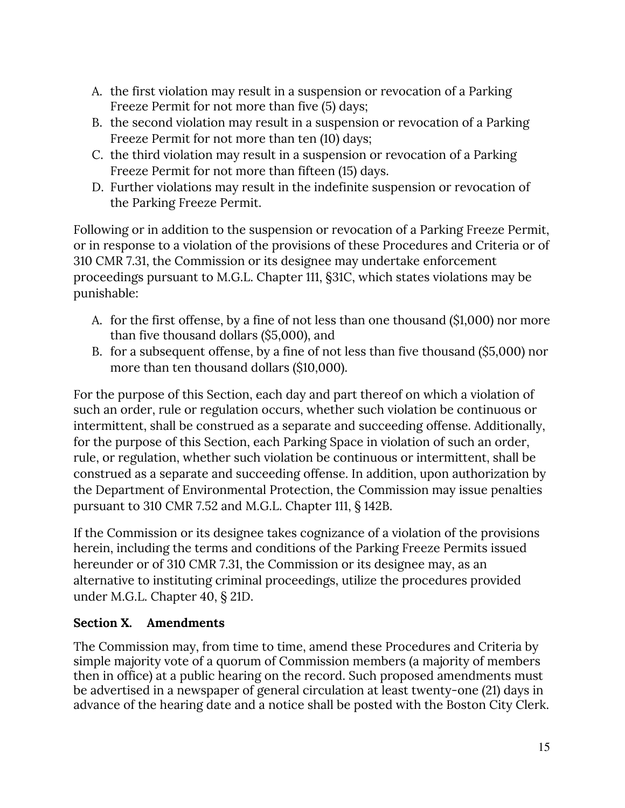- A. the first violation may result in a suspension or revocation of a Parking Freeze Permit for not more than five (5) days;
- B. the second violation may result in a suspension or revocation of a Parking Freeze Permit for not more than ten (10) days;
- C. the third violation may result in a suspension or revocation of a Parking Freeze Permit for not more than fifteen (15) days.
- D. Further violations may result in the indefinite suspension or revocation of the Parking Freeze Permit.

Following or in addition to the suspension or revocation of a Parking Freeze Permit, or in response to a violation of the provisions of these Procedures and Criteria or of 310 CMR 7.31, the Commission or its designee may undertake enforcement proceedings pursuant to M.G.L. Chapter 111, §31C, which states violations may be punishable:

- A. for the first offense, by a fine of not less than one thousand (\$1,000) nor more than five thousand dollars (\$5,000), and
- B. for a subsequent offense, by a fine of not less than five thousand (\$5,000) nor more than ten thousand dollars (\$10,000).

For the purpose of this Section, each day and part thereof on which a violation of such an order, rule or regulation occurs, whether such violation be continuous or intermittent, shall be construed as a separate and succeeding offense. Additionally, for the purpose of this Section, each Parking Space in violation of such an order, rule, or regulation, whether such violation be continuous or intermittent, shall be construed as a separate and succeeding offense. In addition, upon authorization by the Department of Environmental Protection, the Commission may issue penalties pursuant to 310 CMR 7.52 and M.G.L. Chapter 111, § 142B.

If the Commission or its designee takes cognizance of a violation of the provisions herein, including the terms and conditions of the Parking Freeze Permits issued hereunder or of 310 CMR 7.31, the Commission or its designee may, as an alternative to instituting criminal proceedings, utilize the procedures provided under M.G.L. Chapter 40, § 21D.

## **Section X. Amendments**

The Commission may, from time to time, amend these Procedures and Criteria by simple majority vote of a quorum of Commission members (a majority of members then in office) at a public hearing on the record. Such proposed amendments must be advertised in a newspaper of general circulation at least twenty-one (21) days in advance of the hearing date and a notice shall be posted with the Boston City Clerk.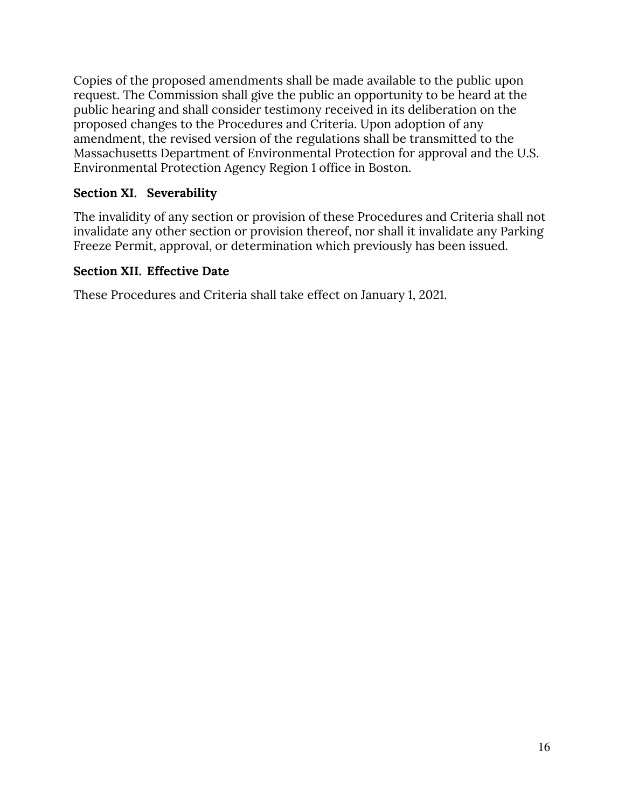Copies of the proposed amendments shall be made available to the public upon request. The Commission shall give the public an opportunity to be heard at the public hearing and shall consider testimony received in its deliberation on the proposed changes to the Procedures and Criteria. Upon adoption of any amendment, the revised version of the regulations shall be transmitted to the Massachusetts Department of Environmental Protection for approval and the U.S. Environmental Protection Agency Region 1 office in Boston.

## **Section XI. Severability**

The invalidity of any section or provision of these Procedures and Criteria shall not invalidate any other section or provision thereof, nor shall it invalidate any Parking Freeze Permit, approval, or determination which previously has been issued.

#### **Section XII. Effective Date**

These Procedures and Criteria shall take effect on January 1, 2021.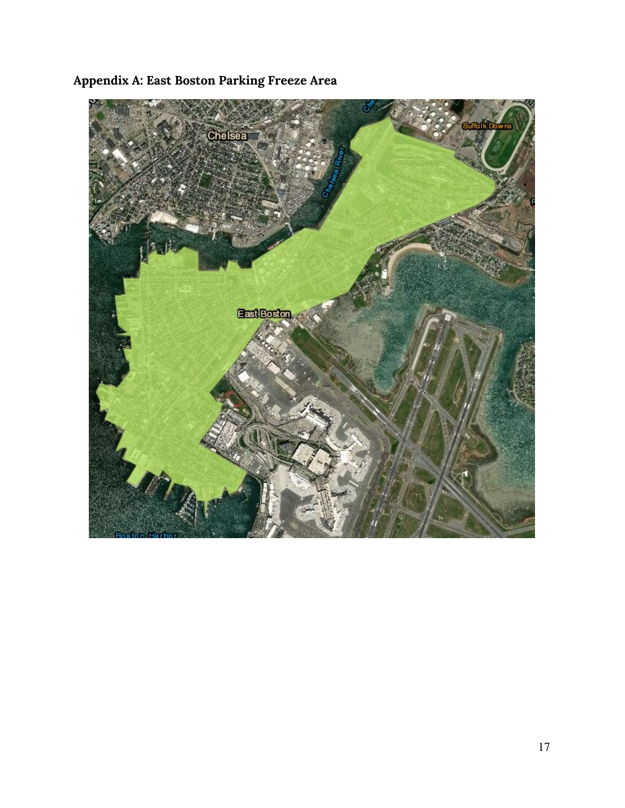

**Appendix A: East Boston Parking Freeze Area**